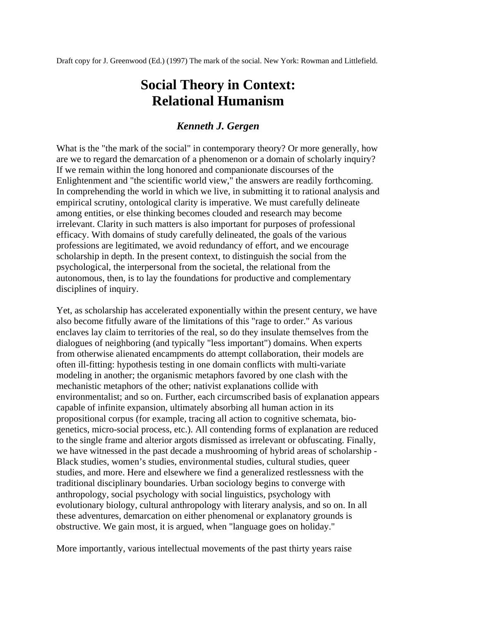Draft copy for J. Greenwood (Ed.) (1997) The mark of the social. New York: Rowman and Littlefield.

# **Social Theory in Context: Relational Humanism**

## *Kenneth J. Gergen*

What is the "the mark of the social" in contemporary theory? Or more generally, how are we to regard the demarcation of a phenomenon or a domain of scholarly inquiry? If we remain within the long honored and companionate discourses of the Enlightenment and "the scientific world view," the answers are readily forthcoming. In comprehending the world in which we live, in submitting it to rational analysis and empirical scrutiny, ontological clarity is imperative. We must carefully delineate among entities, or else thinking becomes clouded and research may become irrelevant. Clarity in such matters is also important for purposes of professional efficacy. With domains of study carefully delineated, the goals of the various professions are legitimated, we avoid redundancy of effort, and we encourage scholarship in depth. In the present context, to distinguish the social from the psychological, the interpersonal from the societal, the relational from the autonomous, then, is to lay the foundations for productive and complementary disciplines of inquiry.

Yet, as scholarship has accelerated exponentially within the present century, we have also become fitfully aware of the limitations of this "rage to order." As various enclaves lay claim to territories of the real, so do they insulate themselves from the dialogues of neighboring (and typically "less important") domains. When experts from otherwise alienated encampments do attempt collaboration, their models are often ill-fitting: hypothesis testing in one domain conflicts with multi-variate modeling in another; the organismic metaphors favored by one clash with the mechanistic metaphors of the other; nativist explanations collide with environmentalist; and so on. Further, each circumscribed basis of explanation appears capable of infinite expansion, ultimately absorbing all human action in its propositional corpus (for example, tracing all action to cognitive schemata, biogenetics, micro-social process, etc.). All contending forms of explanation are reduced to the single frame and alterior argots dismissed as irrelevant or obfuscating. Finally, we have witnessed in the past decade a mushrooming of hybrid areas of scholarship - Black studies, women's studies, environmental studies, cultural studies, queer studies, and more. Here and elsewhere we find a generalized restlessness with the traditional disciplinary boundaries. Urban sociology begins to converge with anthropology, social psychology with social linguistics, psychology with evolutionary biology, cultural anthropology with literary analysis, and so on. In all these adventures, demarcation on either phenomenal or explanatory grounds is obstructive. We gain most, it is argued, when "language goes on holiday."

More importantly, various intellectual movements of the past thirty years raise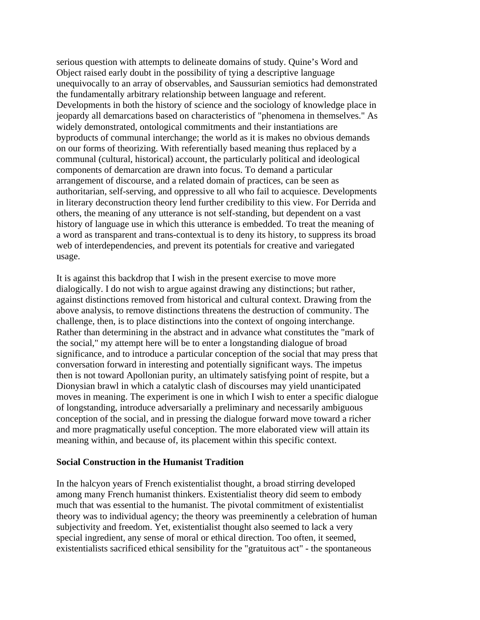serious question with attempts to delineate domains of study. Quine's Word and Object raised early doubt in the possibility of tying a descriptive language unequivocally to an array of observables, and Saussurian semiotics had demonstrated the fundamentally arbitrary relationship between language and referent. Developments in both the history of science and the sociology of knowledge place in jeopardy all demarcations based on characteristics of "phenomena in themselves." As widely demonstrated, ontological commitments and their instantiations are byproducts of communal interchange; the world as it is makes no obvious demands on our forms of theorizing. With referentially based meaning thus replaced by a communal (cultural, historical) account, the particularly political and ideological components of demarcation are drawn into focus. To demand a particular arrangement of discourse, and a related domain of practices, can be seen as authoritarian, self-serving, and oppressive to all who fail to acquiesce. Developments in literary deconstruction theory lend further credibility to this view. For Derrida and others, the meaning of any utterance is not self-standing, but dependent on a vast history of language use in which this utterance is embedded. To treat the meaning of a word as transparent and trans-contextual is to deny its history, to suppress its broad web of interdependencies, and prevent its potentials for creative and variegated usage.

It is against this backdrop that I wish in the present exercise to move more dialogically. I do not wish to argue against drawing any distinctions; but rather, against distinctions removed from historical and cultural context. Drawing from the above analysis, to remove distinctions threatens the destruction of community. The challenge, then, is to place distinctions into the context of ongoing interchange. Rather than determining in the abstract and in advance what constitutes the "mark of the social," my attempt here will be to enter a longstanding dialogue of broad significance, and to introduce a particular conception of the social that may press that conversation forward in interesting and potentially significant ways. The impetus then is not toward Apollonian purity, an ultimately satisfying point of respite, but a Dionysian brawl in which a catalytic clash of discourses may yield unanticipated moves in meaning. The experiment is one in which I wish to enter a specific dialogue of longstanding, introduce adversarially a preliminary and necessarily ambiguous conception of the social, and in pressing the dialogue forward move toward a richer and more pragmatically useful conception. The more elaborated view will attain its meaning within, and because of, its placement within this specific context.

#### **Social Construction in the Humanist Tradition**

In the halcyon years of French existentialist thought, a broad stirring developed among many French humanist thinkers. Existentialist theory did seem to embody much that was essential to the humanist. The pivotal commitment of existentialist theory was to individual agency; the theory was preeminently a celebration of human subjectivity and freedom. Yet, existentialist thought also seemed to lack a very special ingredient, any sense of moral or ethical direction. Too often, it seemed, existentialists sacrificed ethical sensibility for the "gratuitous act" - the spontaneous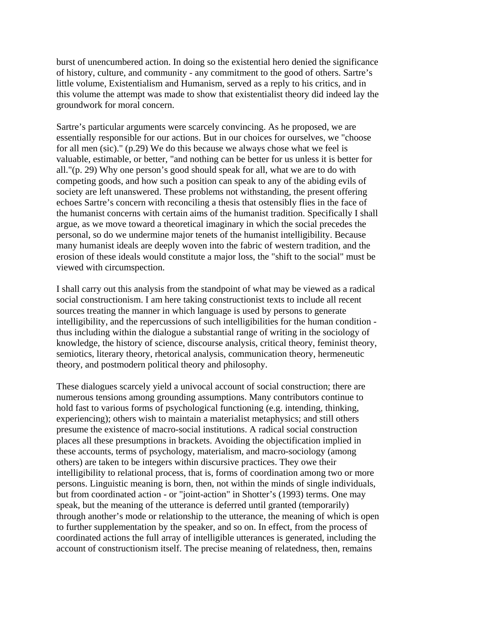burst of unencumbered action. In doing so the existential hero denied the significance of history, culture, and community - any commitment to the good of others. Sartre's little volume, Existentialism and Humanism, served as a reply to his critics, and in this volume the attempt was made to show that existentialist theory did indeed lay the groundwork for moral concern.

Sartre's particular arguments were scarcely convincing. As he proposed, we are essentially responsible for our actions. But in our choices for ourselves, we "choose for all men (sic)." (p.29) We do this because we always chose what we feel is valuable, estimable, or better, "and nothing can be better for us unless it is better for all."(p. 29) Why one person's good should speak for all, what we are to do with competing goods, and how such a position can speak to any of the abiding evils of society are left unanswered. These problems not withstanding, the present offering echoes Sartre's concern with reconciling a thesis that ostensibly flies in the face of the humanist concerns with certain aims of the humanist tradition. Specifically I shall argue, as we move toward a theoretical imaginary in which the social precedes the personal, so do we undermine major tenets of the humanist intelligibility. Because many humanist ideals are deeply woven into the fabric of western tradition, and the erosion of these ideals would constitute a major loss, the "shift to the social" must be viewed with circumspection.

I shall carry out this analysis from the standpoint of what may be viewed as a radical social constructionism. I am here taking constructionist texts to include all recent sources treating the manner in which language is used by persons to generate intelligibility, and the repercussions of such intelligibilities for the human condition thus including within the dialogue a substantial range of writing in the sociology of knowledge, the history of science, discourse analysis, critical theory, feminist theory, semiotics, literary theory, rhetorical analysis, communication theory, hermeneutic theory, and postmodern political theory and philosophy.

These dialogues scarcely yield a univocal account of social construction; there are numerous tensions among grounding assumptions. Many contributors continue to hold fast to various forms of psychological functioning (e.g. intending, thinking, experiencing); others wish to maintain a materialist metaphysics; and still others presume the existence of macro-social institutions. A radical social construction places all these presumptions in brackets. Avoiding the objectification implied in these accounts, terms of psychology, materialism, and macro-sociology (among others) are taken to be integers within discursive practices. They owe their intelligibility to relational process, that is, forms of coordination among two or more persons. Linguistic meaning is born, then, not within the minds of single individuals, but from coordinated action - or "joint-action" in Shotter's (1993) terms. One may speak, but the meaning of the utterance is deferred until granted (temporarily) through another's mode or relationship to the utterance, the meaning of which is open to further supplementation by the speaker, and so on. In effect, from the process of coordinated actions the full array of intelligible utterances is generated, including the account of constructionism itself. The precise meaning of relatedness, then, remains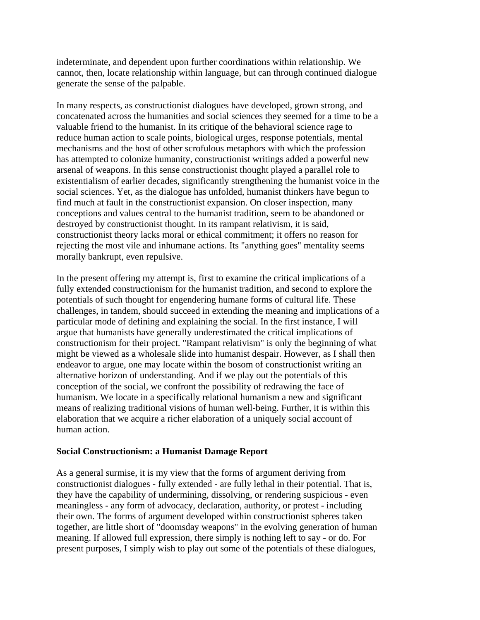indeterminate, and dependent upon further coordinations within relationship. We cannot, then, locate relationship within language, but can through continued dialogue generate the sense of the palpable.

In many respects, as constructionist dialogues have developed, grown strong, and concatenated across the humanities and social sciences they seemed for a time to be a valuable friend to the humanist. In its critique of the behavioral science rage to reduce human action to scale points, biological urges, response potentials, mental mechanisms and the host of other scrofulous metaphors with which the profession has attempted to colonize humanity, constructionist writings added a powerful new arsenal of weapons. In this sense constructionist thought played a parallel role to existentialism of earlier decades, significantly strengthening the humanist voice in the social sciences. Yet, as the dialogue has unfolded, humanist thinkers have begun to find much at fault in the constructionist expansion. On closer inspection, many conceptions and values central to the humanist tradition, seem to be abandoned or destroyed by constructionist thought. In its rampant relativism, it is said, constructionist theory lacks moral or ethical commitment; it offers no reason for rejecting the most vile and inhumane actions. Its "anything goes" mentality seems morally bankrupt, even repulsive.

In the present offering my attempt is, first to examine the critical implications of a fully extended constructionism for the humanist tradition, and second to explore the potentials of such thought for engendering humane forms of cultural life. These challenges, in tandem, should succeed in extending the meaning and implications of a particular mode of defining and explaining the social. In the first instance, I will argue that humanists have generally underestimated the critical implications of constructionism for their project. "Rampant relativism" is only the beginning of what might be viewed as a wholesale slide into humanist despair. However, as I shall then endeavor to argue, one may locate within the bosom of constructionist writing an alternative horizon of understanding. And if we play out the potentials of this conception of the social, we confront the possibility of redrawing the face of humanism. We locate in a specifically relational humanism a new and significant means of realizing traditional visions of human well-being. Further, it is within this elaboration that we acquire a richer elaboration of a uniquely social account of human action.

### **Social Constructionism: a Humanist Damage Report**

As a general surmise, it is my view that the forms of argument deriving from constructionist dialogues - fully extended - are fully lethal in their potential. That is, they have the capability of undermining, dissolving, or rendering suspicious - even meaningless - any form of advocacy, declaration, authority, or protest - including their own. The forms of argument developed within constructionist spheres taken together, are little short of "doomsday weapons" in the evolving generation of human meaning. If allowed full expression, there simply is nothing left to say - or do. For present purposes, I simply wish to play out some of the potentials of these dialogues,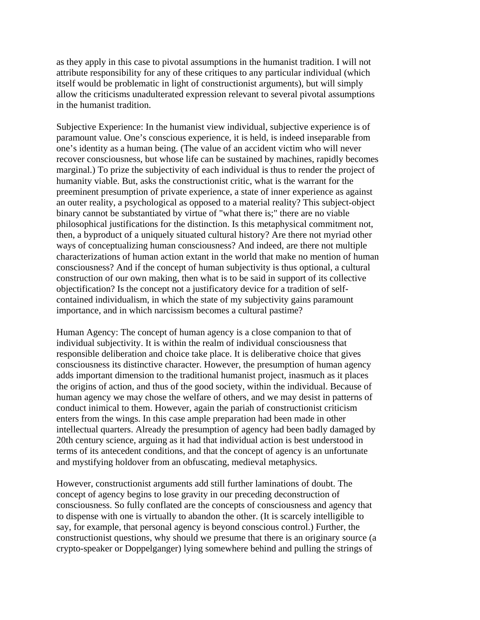as they apply in this case to pivotal assumptions in the humanist tradition. I will not attribute responsibility for any of these critiques to any particular individual (which itself would be problematic in light of constructionist arguments), but will simply allow the criticisms unadulterated expression relevant to several pivotal assumptions in the humanist tradition.

Subjective Experience: In the humanist view individual, subjective experience is of paramount value. One's conscious experience, it is held, is indeed inseparable from one's identity as a human being. (The value of an accident victim who will never recover consciousness, but whose life can be sustained by machines, rapidly becomes marginal.) To prize the subjectivity of each individual is thus to render the project of humanity viable. But, asks the constructionist critic, what is the warrant for the preeminent presumption of private experience, a state of inner experience as against an outer reality, a psychological as opposed to a material reality? This subject-object binary cannot be substantiated by virtue of "what there is;" there are no viable philosophical justifications for the distinction. Is this metaphysical commitment not, then, a byproduct of a uniquely situated cultural history? Are there not myriad other ways of conceptualizing human consciousness? And indeed, are there not multiple characterizations of human action extant in the world that make no mention of human consciousness? And if the concept of human subjectivity is thus optional, a cultural construction of our own making, then what is to be said in support of its collective objectification? Is the concept not a justificatory device for a tradition of selfcontained individualism, in which the state of my subjectivity gains paramount importance, and in which narcissism becomes a cultural pastime?

Human Agency: The concept of human agency is a close companion to that of individual subjectivity. It is within the realm of individual consciousness that responsible deliberation and choice take place. It is deliberative choice that gives consciousness its distinctive character. However, the presumption of human agency adds important dimension to the traditional humanist project, inasmuch as it places the origins of action, and thus of the good society, within the individual. Because of human agency we may chose the welfare of others, and we may desist in patterns of conduct inimical to them. However, again the pariah of constructionist criticism enters from the wings. In this case ample preparation had been made in other intellectual quarters. Already the presumption of agency had been badly damaged by 20th century science, arguing as it had that individual action is best understood in terms of its antecedent conditions, and that the concept of agency is an unfortunate and mystifying holdover from an obfuscating, medieval metaphysics.

However, constructionist arguments add still further laminations of doubt. The concept of agency begins to lose gravity in our preceding deconstruction of consciousness. So fully conflated are the concepts of consciousness and agency that to dispense with one is virtually to abandon the other. (It is scarcely intelligible to say, for example, that personal agency is beyond conscious control.) Further, the constructionist questions, why should we presume that there is an originary source (a crypto-speaker or Doppelganger) lying somewhere behind and pulling the strings of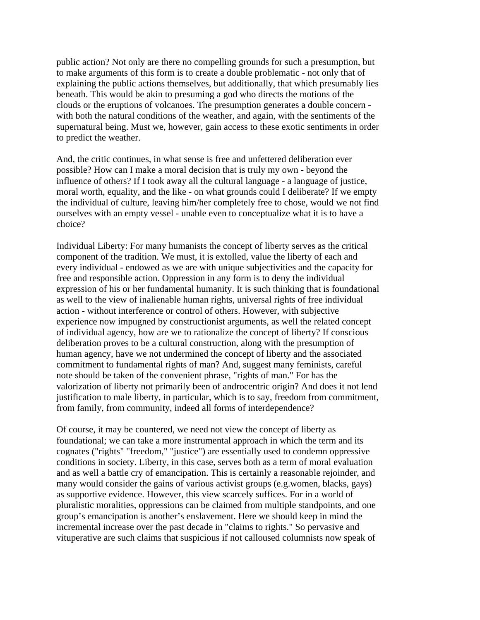public action? Not only are there no compelling grounds for such a presumption, but to make arguments of this form is to create a double problematic - not only that of explaining the public actions themselves, but additionally, that which presumably lies beneath. This would be akin to presuming a god who directs the motions of the clouds or the eruptions of volcanoes. The presumption generates a double concern with both the natural conditions of the weather, and again, with the sentiments of the supernatural being. Must we, however, gain access to these exotic sentiments in order to predict the weather.

And, the critic continues, in what sense is free and unfettered deliberation ever possible? How can I make a moral decision that is truly my own - beyond the influence of others? If I took away all the cultural language - a language of justice, moral worth, equality, and the like - on what grounds could I deliberate? If we empty the individual of culture, leaving him/her completely free to chose, would we not find ourselves with an empty vessel - unable even to conceptualize what it is to have a choice?

Individual Liberty: For many humanists the concept of liberty serves as the critical component of the tradition. We must, it is extolled, value the liberty of each and every individual - endowed as we are with unique subjectivities and the capacity for free and responsible action. Oppression in any form is to deny the individual expression of his or her fundamental humanity. It is such thinking that is foundational as well to the view of inalienable human rights, universal rights of free individual action - without interference or control of others. However, with subjective experience now impugned by constructionist arguments, as well the related concept of individual agency, how are we to rationalize the concept of liberty? If conscious deliberation proves to be a cultural construction, along with the presumption of human agency, have we not undermined the concept of liberty and the associated commitment to fundamental rights of man? And, suggest many feminists, careful note should be taken of the convenient phrase, "rights of man." For has the valorization of liberty not primarily been of androcentric origin? And does it not lend justification to male liberty, in particular, which is to say, freedom from commitment, from family, from community, indeed all forms of interdependence?

Of course, it may be countered, we need not view the concept of liberty as foundational; we can take a more instrumental approach in which the term and its cognates ("rights" "freedom," "justice") are essentially used to condemn oppressive conditions in society. Liberty, in this case, serves both as a term of moral evaluation and as well a battle cry of emancipation. This is certainly a reasonable rejoinder, and many would consider the gains of various activist groups (e.g.women, blacks, gays) as supportive evidence. However, this view scarcely suffices. For in a world of pluralistic moralities, oppressions can be claimed from multiple standpoints, and one group's emancipation is another's enslavement. Here we should keep in mind the incremental increase over the past decade in "claims to rights." So pervasive and vituperative are such claims that suspicious if not calloused columnists now speak of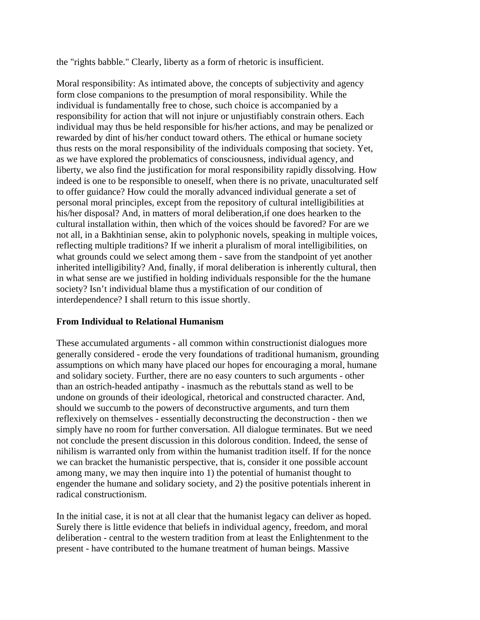the "rights babble." Clearly, liberty as a form of rhetoric is insufficient.

Moral responsibility: As intimated above, the concepts of subjectivity and agency form close companions to the presumption of moral responsibility. While the individual is fundamentally free to chose, such choice is accompanied by a responsibility for action that will not injure or unjustifiably constrain others. Each individual may thus be held responsible for his/her actions, and may be penalized or rewarded by dint of his/her conduct toward others. The ethical or humane society thus rests on the moral responsibility of the individuals composing that society. Yet, as we have explored the problematics of consciousness, individual agency, and liberty, we also find the justification for moral responsibility rapidly dissolving. How indeed is one to be responsible to oneself, when there is no private, unaculturated self to offer guidance? How could the morally advanced individual generate a set of personal moral principles, except from the repository of cultural intelligibilities at his/her disposal? And, in matters of moral deliberation,if one does hearken to the cultural installation within, then which of the voices should be favored? For are we not all, in a Bakhtinian sense, akin to polyphonic novels, speaking in multiple voices, reflecting multiple traditions? If we inherit a pluralism of moral intelligibilities, on what grounds could we select among them - save from the standpoint of yet another inherited intelligibility? And, finally, if moral deliberation is inherently cultural, then in what sense are we justified in holding individuals responsible for the the humane society? Isn't individual blame thus a mystification of our condition of interdependence? I shall return to this issue shortly.

### **From Individual to Relational Humanism**

These accumulated arguments - all common within constructionist dialogues more generally considered - erode the very foundations of traditional humanism, grounding assumptions on which many have placed our hopes for encouraging a moral, humane and solidary society. Further, there are no easy counters to such arguments - other than an ostrich-headed antipathy - inasmuch as the rebuttals stand as well to be undone on grounds of their ideological, rhetorical and constructed character. And, should we succumb to the powers of deconstructive arguments, and turn them reflexively on themselves - essentially deconstructing the deconstruction - then we simply have no room for further conversation. All dialogue terminates. But we need not conclude the present discussion in this dolorous condition. Indeed, the sense of nihilism is warranted only from within the humanist tradition itself. If for the nonce we can bracket the humanistic perspective, that is, consider it one possible account among many, we may then inquire into 1) the potential of humanist thought to engender the humane and solidary society, and 2) the positive potentials inherent in radical constructionism.

In the initial case, it is not at all clear that the humanist legacy can deliver as hoped. Surely there is little evidence that beliefs in individual agency, freedom, and moral deliberation - central to the western tradition from at least the Enlightenment to the present - have contributed to the humane treatment of human beings. Massive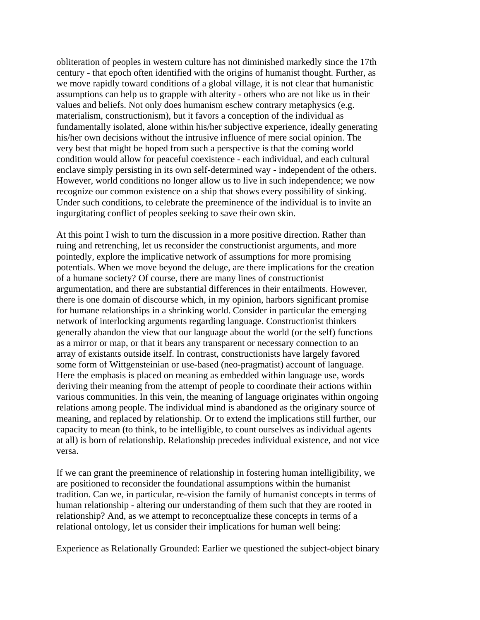obliteration of peoples in western culture has not diminished markedly since the 17th century - that epoch often identified with the origins of humanist thought. Further, as we move rapidly toward conditions of a global village, it is not clear that humanistic assumptions can help us to grapple with alterity - others who are not like us in their values and beliefs. Not only does humanism eschew contrary metaphysics (e.g. materialism, constructionism), but it favors a conception of the individual as fundamentally isolated, alone within his/her subjective experience, ideally generating his/her own decisions without the intrusive influence of mere social opinion. The very best that might be hoped from such a perspective is that the coming world condition would allow for peaceful coexistence - each individual, and each cultural enclave simply persisting in its own self-determined way - independent of the others. However, world conditions no longer allow us to live in such independence; we now recognize our common existence on a ship that shows every possibility of sinking. Under such conditions, to celebrate the preeminence of the individual is to invite an ingurgitating conflict of peoples seeking to save their own skin.

At this point I wish to turn the discussion in a more positive direction. Rather than ruing and retrenching, let us reconsider the constructionist arguments, and more pointedly, explore the implicative network of assumptions for more promising potentials. When we move beyond the deluge, are there implications for the creation of a humane society? Of course, there are many lines of constructionist argumentation, and there are substantial differences in their entailments. However, there is one domain of discourse which, in my opinion, harbors significant promise for humane relationships in a shrinking world. Consider in particular the emerging network of interlocking arguments regarding language. Constructionist thinkers generally abandon the view that our language about the world (or the self) functions as a mirror or map, or that it bears any transparent or necessary connection to an array of existants outside itself. In contrast, constructionists have largely favored some form of Wittgensteinian or use-based (neo-pragmatist) account of language. Here the emphasis is placed on meaning as embedded within language use, words deriving their meaning from the attempt of people to coordinate their actions within various communities. In this vein, the meaning of language originates within ongoing relations among people. The individual mind is abandoned as the originary source of meaning, and replaced by relationship. Or to extend the implications still further, our capacity to mean (to think, to be intelligible, to count ourselves as individual agents at all) is born of relationship. Relationship precedes individual existence, and not vice versa.

If we can grant the preeminence of relationship in fostering human intelligibility, we are positioned to reconsider the foundational assumptions within the humanist tradition. Can we, in particular, re-vision the family of humanist concepts in terms of human relationship - altering our understanding of them such that they are rooted in relationship? And, as we attempt to reconceptualize these concepts in terms of a relational ontology, let us consider their implications for human well being:

Experience as Relationally Grounded: Earlier we questioned the subject-object binary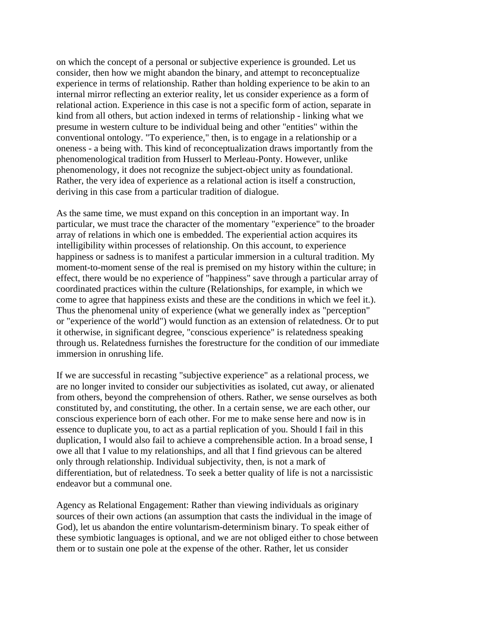on which the concept of a personal or subjective experience is grounded. Let us consider, then how we might abandon the binary, and attempt to reconceptualize experience in terms of relationship. Rather than holding experience to be akin to an internal mirror reflecting an exterior reality, let us consider experience as a form of relational action. Experience in this case is not a specific form of action, separate in kind from all others, but action indexed in terms of relationship - linking what we presume in western culture to be individual being and other "entities" within the conventional ontology. "To experience," then, is to engage in a relationship or a oneness - a being with. This kind of reconceptualization draws importantly from the phenomenological tradition from Husserl to Merleau-Ponty. However, unlike phenomenology, it does not recognize the subject-object unity as foundational. Rather, the very idea of experience as a relational action is itself a construction, deriving in this case from a particular tradition of dialogue.

As the same time, we must expand on this conception in an important way. In particular, we must trace the character of the momentary "experience" to the broader array of relations in which one is embedded. The experiential action acquires its intelligibility within processes of relationship. On this account, to experience happiness or sadness is to manifest a particular immersion in a cultural tradition. My moment-to-moment sense of the real is premised on my history within the culture; in effect, there would be no experience of "happiness" save through a particular array of coordinated practices within the culture (Relationships, for example, in which we come to agree that happiness exists and these are the conditions in which we feel it.). Thus the phenomenal unity of experience (what we generally index as "perception" or "experience of the world") would function as an extension of relatedness. Or to put it otherwise, in significant degree, "conscious experience" is relatedness speaking through us. Relatedness furnishes the forestructure for the condition of our immediate immersion in onrushing life.

If we are successful in recasting "subjective experience" as a relational process, we are no longer invited to consider our subjectivities as isolated, cut away, or alienated from others, beyond the comprehension of others. Rather, we sense ourselves as both constituted by, and constituting, the other. In a certain sense, we are each other, our conscious experience born of each other. For me to make sense here and now is in essence to duplicate you, to act as a partial replication of you. Should I fail in this duplication, I would also fail to achieve a comprehensible action. In a broad sense, I owe all that I value to my relationships, and all that I find grievous can be altered only through relationship. Individual subjectivity, then, is not a mark of differentiation, but of relatedness. To seek a better quality of life is not a narcissistic endeavor but a communal one.

Agency as Relational Engagement: Rather than viewing individuals as originary sources of their own actions (an assumption that casts the individual in the image of God), let us abandon the entire voluntarism-determinism binary. To speak either of these symbiotic languages is optional, and we are not obliged either to chose between them or to sustain one pole at the expense of the other. Rather, let us consider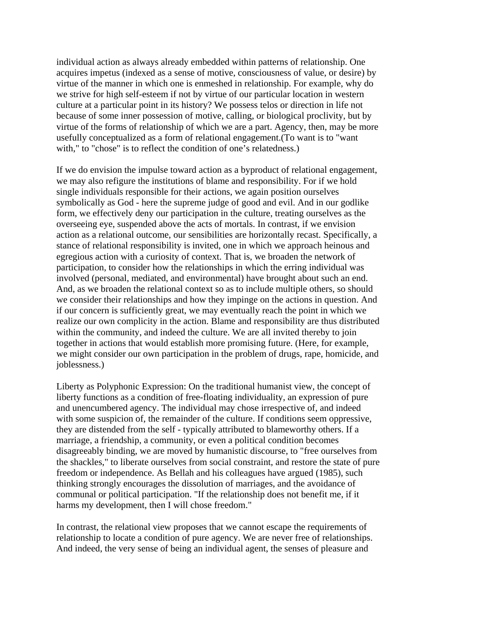individual action as always already embedded within patterns of relationship. One acquires impetus (indexed as a sense of motive, consciousness of value, or desire) by virtue of the manner in which one is enmeshed in relationship. For example, why do we strive for high self-esteem if not by virtue of our particular location in western culture at a particular point in its history? We possess telos or direction in life not because of some inner possession of motive, calling, or biological proclivity, but by virtue of the forms of relationship of which we are a part. Agency, then, may be more usefully conceptualized as a form of relational engagement.(To want is to "want with," to "chose" is to reflect the condition of one's relatedness.)

If we do envision the impulse toward action as a byproduct of relational engagement, we may also refigure the institutions of blame and responsibility. For if we hold single individuals responsible for their actions, we again position ourselves symbolically as God - here the supreme judge of good and evil. And in our godlike form, we effectively deny our participation in the culture, treating ourselves as the overseeing eye, suspended above the acts of mortals. In contrast, if we envision action as a relational outcome, our sensibilities are horizontally recast. Specifically, a stance of relational responsibility is invited, one in which we approach heinous and egregious action with a curiosity of context. That is, we broaden the network of participation, to consider how the relationships in which the erring individual was involved (personal, mediated, and environmental) have brought about such an end. And, as we broaden the relational context so as to include multiple others, so should we consider their relationships and how they impinge on the actions in question. And if our concern is sufficiently great, we may eventually reach the point in which we realize our own complicity in the action. Blame and responsibility are thus distributed within the community, and indeed the culture. We are all invited thereby to join together in actions that would establish more promising future. (Here, for example, we might consider our own participation in the problem of drugs, rape, homicide, and joblessness.)

Liberty as Polyphonic Expression: On the traditional humanist view, the concept of liberty functions as a condition of free-floating individuality, an expression of pure and unencumbered agency. The individual may chose irrespective of, and indeed with some suspicion of, the remainder of the culture. If conditions seem oppressive, they are distended from the self - typically attributed to blameworthy others. If a marriage, a friendship, a community, or even a political condition becomes disagreeably binding, we are moved by humanistic discourse, to "free ourselves from the shackles," to liberate ourselves from social constraint, and restore the state of pure freedom or independence. As Bellah and his colleagues have argued (1985), such thinking strongly encourages the dissolution of marriages, and the avoidance of communal or political participation. "If the relationship does not benefit me, if it harms my development, then I will chose freedom."

In contrast, the relational view proposes that we cannot escape the requirements of relationship to locate a condition of pure agency. We are never free of relationships. And indeed, the very sense of being an individual agent, the senses of pleasure and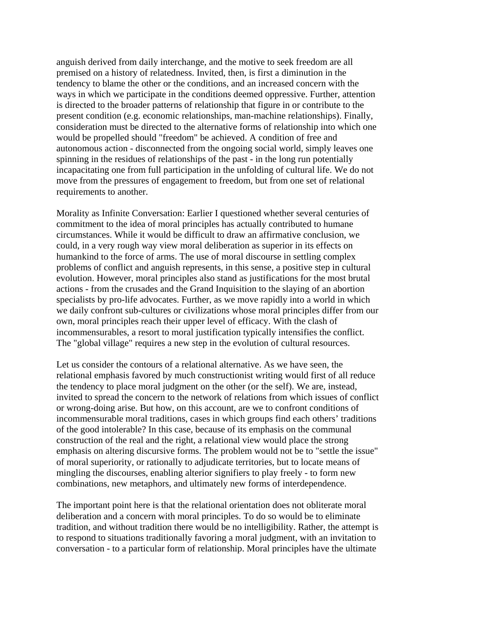anguish derived from daily interchange, and the motive to seek freedom are all premised on a history of relatedness. Invited, then, is first a diminution in the tendency to blame the other or the conditions, and an increased concern with the ways in which we participate in the conditions deemed oppressive. Further, attention is directed to the broader patterns of relationship that figure in or contribute to the present condition (e.g. economic relationships, man-machine relationships). Finally, consideration must be directed to the alternative forms of relationship into which one would be propelled should "freedom" be achieved. A condition of free and autonomous action - disconnected from the ongoing social world, simply leaves one spinning in the residues of relationships of the past - in the long run potentially incapacitating one from full participation in the unfolding of cultural life. We do not move from the pressures of engagement to freedom, but from one set of relational requirements to another.

Morality as Infinite Conversation: Earlier I questioned whether several centuries of commitment to the idea of moral principles has actually contributed to humane circumstances. While it would be difficult to draw an affirmative conclusion, we could, in a very rough way view moral deliberation as superior in its effects on humankind to the force of arms. The use of moral discourse in settling complex problems of conflict and anguish represents, in this sense, a positive step in cultural evolution. However, moral principles also stand as justifications for the most brutal actions - from the crusades and the Grand Inquisition to the slaying of an abortion specialists by pro-life advocates. Further, as we move rapidly into a world in which we daily confront sub-cultures or civilizations whose moral principles differ from our own, moral principles reach their upper level of efficacy. With the clash of incommensurables, a resort to moral justification typically intensifies the conflict. The "global village" requires a new step in the evolution of cultural resources.

Let us consider the contours of a relational alternative. As we have seen, the relational emphasis favored by much constructionist writing would first of all reduce the tendency to place moral judgment on the other (or the self). We are, instead, invited to spread the concern to the network of relations from which issues of conflict or wrong-doing arise. But how, on this account, are we to confront conditions of incommensurable moral traditions, cases in which groups find each others' traditions of the good intolerable? In this case, because of its emphasis on the communal construction of the real and the right, a relational view would place the strong emphasis on altering discursive forms. The problem would not be to "settle the issue" of moral superiority, or rationally to adjudicate territories, but to locate means of mingling the discourses, enabling alterior signifiers to play freely - to form new combinations, new metaphors, and ultimately new forms of interdependence.

The important point here is that the relational orientation does not obliterate moral deliberation and a concern with moral principles. To do so would be to eliminate tradition, and without tradition there would be no intelligibility. Rather, the attempt is to respond to situations traditionally favoring a moral judgment, with an invitation to conversation - to a particular form of relationship. Moral principles have the ultimate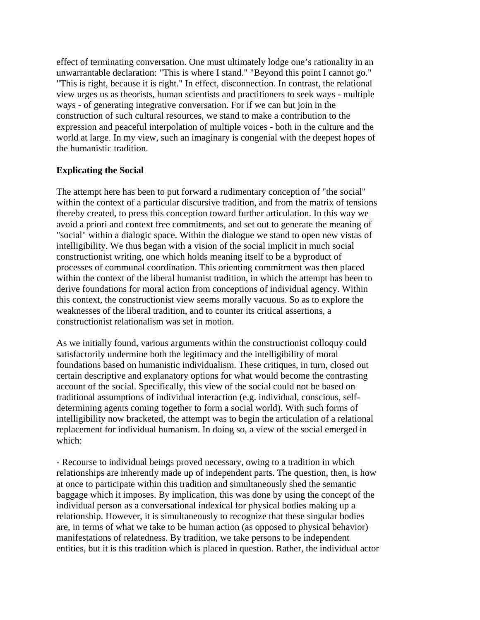effect of terminating conversation. One must ultimately lodge one's rationality in an unwarrantable declaration: "This is where I stand." "Beyond this point I cannot go." "This is right, because it is right." In effect, disconnection. In contrast, the relational view urges us as theorists, human scientists and practitioners to seek ways - multiple ways - of generating integrative conversation. For if we can but join in the construction of such cultural resources, we stand to make a contribution to the expression and peaceful interpolation of multiple voices - both in the culture and the world at large. In my view, such an imaginary is congenial with the deepest hopes of the humanistic tradition.

### **Explicating the Social**

The attempt here has been to put forward a rudimentary conception of "the social" within the context of a particular discursive tradition, and from the matrix of tensions thereby created, to press this conception toward further articulation. In this way we avoid a priori and context free commitments, and set out to generate the meaning of "social" within a dialogic space. Within the dialogue we stand to open new vistas of intelligibility. We thus began with a vision of the social implicit in much social constructionist writing, one which holds meaning itself to be a byproduct of processes of communal coordination. This orienting commitment was then placed within the context of the liberal humanist tradition, in which the attempt has been to derive foundations for moral action from conceptions of individual agency. Within this context, the constructionist view seems morally vacuous. So as to explore the weaknesses of the liberal tradition, and to counter its critical assertions, a constructionist relationalism was set in motion.

As we initially found, various arguments within the constructionist colloquy could satisfactorily undermine both the legitimacy and the intelligibility of moral foundations based on humanistic individualism. These critiques, in turn, closed out certain descriptive and explanatory options for what would become the contrasting account of the social. Specifically, this view of the social could not be based on traditional assumptions of individual interaction (e.g. individual, conscious, selfdetermining agents coming together to form a social world). With such forms of intelligibility now bracketed, the attempt was to begin the articulation of a relational replacement for individual humanism. In doing so, a view of the social emerged in which:

- Recourse to individual beings proved necessary, owing to a tradition in which relationships are inherently made up of independent parts. The question, then, is how at once to participate within this tradition and simultaneously shed the semantic baggage which it imposes. By implication, this was done by using the concept of the individual person as a conversational indexical for physical bodies making up a relationship. However, it is simultaneously to recognize that these singular bodies are, in terms of what we take to be human action (as opposed to physical behavior) manifestations of relatedness. By tradition, we take persons to be independent entities, but it is this tradition which is placed in question. Rather, the individual actor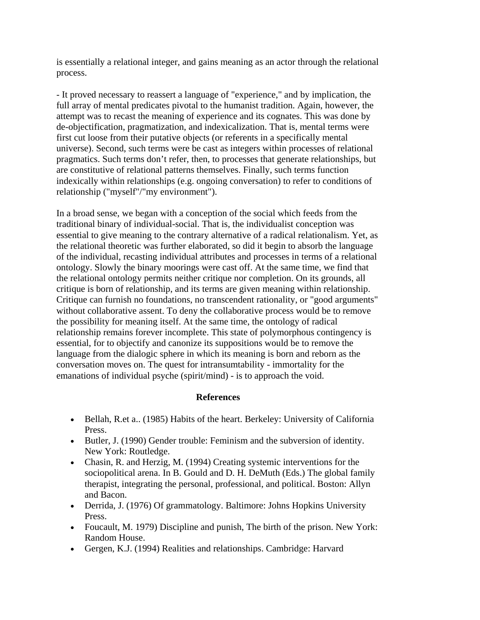is essentially a relational integer, and gains meaning as an actor through the relational process.

- It proved necessary to reassert a language of "experience," and by implication, the full array of mental predicates pivotal to the humanist tradition. Again, however, the attempt was to recast the meaning of experience and its cognates. This was done by de-objectification, pragmatization, and indexicalization. That is, mental terms were first cut loose from their putative objects (or referents in a specifically mental universe). Second, such terms were be cast as integers within processes of relational pragmatics. Such terms don't refer, then, to processes that generate relationships, but are constitutive of relational patterns themselves. Finally, such terms function indexically within relationships (e.g. ongoing conversation) to refer to conditions of relationship ("myself"/"my environment").

In a broad sense, we began with a conception of the social which feeds from the traditional binary of individual-social. That is, the individualist conception was essential to give meaning to the contrary alternative of a radical relationalism. Yet, as the relational theoretic was further elaborated, so did it begin to absorb the language of the individual, recasting individual attributes and processes in terms of a relational ontology. Slowly the binary moorings were cast off. At the same time, we find that the relational ontology permits neither critique nor completion. On its grounds, all critique is born of relationship, and its terms are given meaning within relationship. Critique can furnish no foundations, no transcendent rationality, or "good arguments" without collaborative assent. To deny the collaborative process would be to remove the possibility for meaning itself. At the same time, the ontology of radical relationship remains forever incomplete. This state of polymorphous contingency is essential, for to objectify and canonize its suppositions would be to remove the language from the dialogic sphere in which its meaning is born and reborn as the conversation moves on. The quest for intransumtability - immortality for the emanations of individual psyche (spirit/mind) - is to approach the void.

### **References**

- Bellah, R.et a.. (1985) Habits of the heart. Berkeley: University of California Press.
- Butler, J. (1990) Gender trouble: Feminism and the subversion of identity. New York: Routledge.
- Chasin, R. and Herzig, M. (1994) Creating systemic interventions for the sociopolitical arena. In B. Gould and D. H. DeMuth (Eds.) The global family therapist, integrating the personal, professional, and political. Boston: Allyn and Bacon.
- Derrida, J. (1976) Of grammatology. Baltimore: Johns Hopkins University Press.
- Foucault, M. 1979) Discipline and punish, The birth of the prison. New York: Random House.
- Gergen, K.J. (1994) Realities and relationships. Cambridge: Harvard